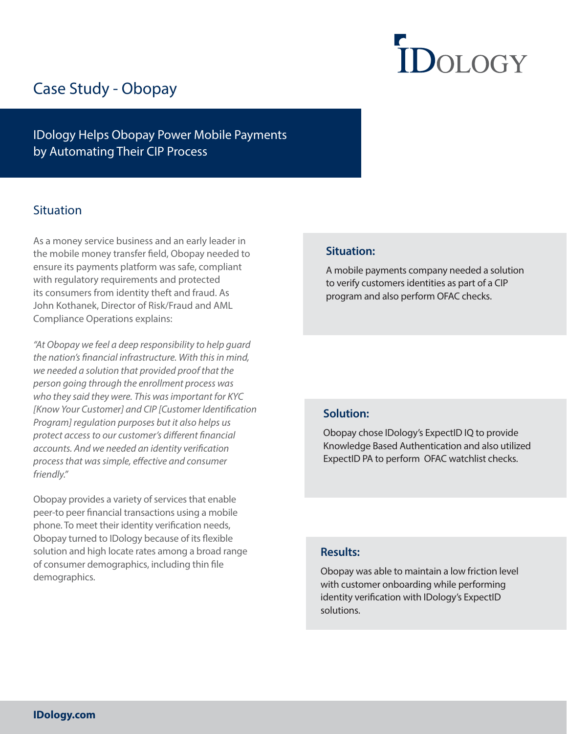# **IDOLOGY**

## Case Study - Obopay

IDology Helps Obopay Power Mobile Payments by Automating Their CIP Process

## **Situation**

As a money service business and an early leader in the mobile money transfer field, Obopay needed to ensure its payments platform was safe, compliant with regulatory requirements and protected its consumers from identity theft and fraud. As John Kothanek, Director of Risk/Fraud and AML Compliance Operations explains:

"At Obopay we feel a deep responsibility to help guard the nation's financial infrastructure. With this in mind, we needed a solution that provided proof that the person going through the enrollment process was who they said they were. This was important for KYC [Know Your Customer] and CIP [Customer Identification Program] regulation purposes but it also helps us protect access to our customer's different financial accounts. And we needed an identity verification process that was simple, efective and consumer friendly."

Obopay provides a variety of services that enable peer-to peer financial transactions using a mobile phone. To meet their identity verification needs, Obopay turned to IDology because of its flexible solution and high locate rates among a broad range of consumer demographics, including thin file demographics.

### **Situation:**

A mobile payments company needed a solution to verify customers identities as part of a CIP program and also perform OFAC checks.

#### **Solution:**

Obopay chose IDology's ExpectID IQ to provide Knowledge Based Authentication and also utilized ExpectID PA to perform OFAC watchlist checks.

## **Results:**

Obopay was able to maintain a low friction level with customer onboarding while performing identity verification with IDology's ExpectID solutions.